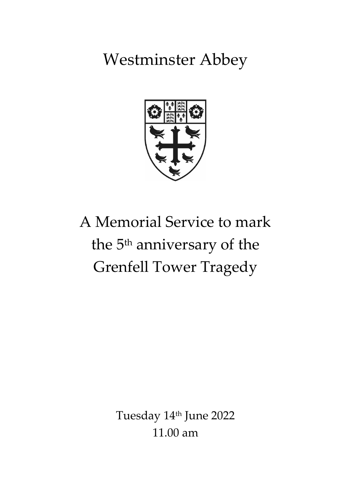Westminster Abbey



# A Memorial Service to mark the 5<sup>th</sup> anniversary of the Grenfell Tower Tragedy

Tuesday 14th June 2022 11.00 am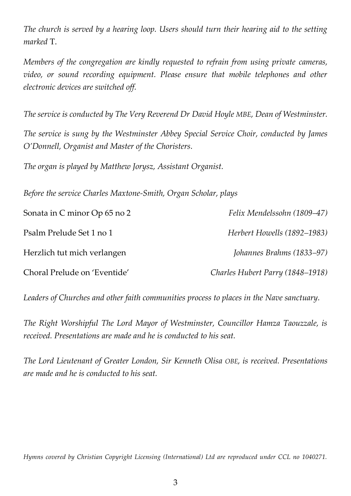*The church is served by a hearing loop. Users should turn their hearing aid to the setting marked* T.

*Members of the congregation are kindly requested to refrain from using private cameras, video, or sound recording equipment. Please ensure that mobile telephones and other electronic devices are switched off.*

*The service is conducted by The Very Reverend Dr David Hoyle MBE, Dean of Westminster.*

*The service is sung by the Westminster Abbey Special Service Choir, conducted by James O'Donnell, Organist and Master of the Choristers.*

*The organ is played by Matthew Jorysz, Assistant Organist.*

*Before the service Charles Maxtone-Smith, Organ Scholar, plays*

| Sonata in C minor Op 65 no 2 | Felix Mendelssohn (1809–47)      |
|------------------------------|----------------------------------|
| Psalm Prelude Set 1 no 1     | Herbert Howells (1892–1983)      |
| Herzlich tut mich verlangen  | Johannes Brahms (1833–97)        |
| Choral Prelude on 'Eventide' | Charles Hubert Parry (1848–1918) |

*Leaders of Churches and other faith communities process to places in the Nave sanctuary.* 

*The Right Worshipful The Lord Mayor of Westminster, Councillor Hamza Taouzzale, is received. Presentations are made and he is conducted to his seat.* 

*The Lord Lieutenant of Greater London, Sir Kenneth Olisa OBE, is received. Presentations are made and he is conducted to his seat.* 

*Hymns covered by Christian Copyright Licensing (International) Ltd are reproduced under CCL no 1040271.*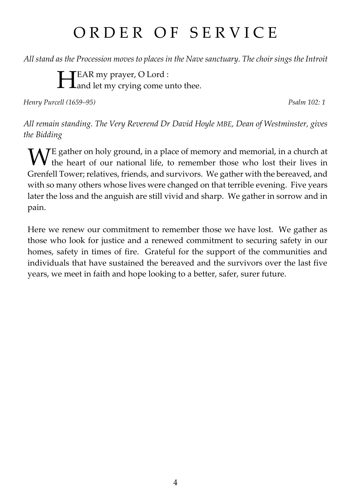## ORDER OF SERVICE

*All stand as the Procession moves to places in the Nave sanctuary. The choir sings the Introit*

EAR my prayer, O Lord : **HEAR my prayer, O Lord :**<br> **A** Land let my crying come unto thee.

*Henry Purcell (1659–95) Psalm 102: 1*

*All remain standing. The Very Reverend Dr David Hoyle MBE, Dean of Westminster, gives the Bidding*

E gather on holy ground, in a place of memory and memorial, in a church at W<sup>E</sup> gather on holy ground, in a place of memory and memorial, in a church at the heart of our national life, to remember those who lost their lives in Grenfell Tower; relatives, friends, and survivors. We gather with the bereaved, and with so many others whose lives were changed on that terrible evening. Five years later the loss and the anguish are still vivid and sharp. We gather in sorrow and in pain.

Here we renew our commitment to remember those we have lost. We gather as those who look for justice and a renewed commitment to securing safety in our homes, safety in times of fire. Grateful for the support of the communities and individuals that have sustained the bereaved and the survivors over the last five years, we meet in faith and hope looking to a better, safer, surer future.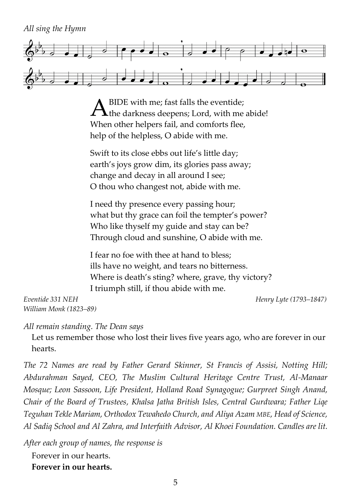*All sing the Hymn*



BIDE with me; fast falls the eventide;  $A<sup>BIDE</sup>$  with me; fast falls the eventide;<br>the darkness deepens; Lord, with me abide! When other helpers fail, and comforts flee, help of the helpless, O abide with me.

Swift to its close ebbs out life's little day; earth's joys grow dim, its glories pass away; change and decay in all around I see; O thou who changest not, abide with me.

I need thy presence every passing hour; what but thy grace can foil the tempter's power? Who like thyself my guide and stay can be? Through cloud and sunshine, O abide with me.

I fear no foe with thee at hand to bless; ills have no weight, and tears no bitterness. Where is death's sting? where, grave, thy victory? I triumph still, if thou abide with me.

*Eventide 331 NEH Henry Lyte (1793–1847) William Monk (1823–89)*

*All remain standing. The Dean says*

Let us remember those who lost their lives five years ago, who are forever in our hearts.

*The 72 Names are read by Father Gerard Skinner, St Francis of Assisi, Notting Hill; Abdurahman Sayed, CEO, The Muslim Cultural Heritage Centre Trust, Al-Manaar Mosque; Leon Sassoon, Life President, Holland Road Synagogue; Gurpreet Singh Anand, Chair of the Board of Trustees, Khalsa Jatha British Isles, Central Gurdwara; Father Liqe Teguhan Tekle Mariam, Orthodox Tewahedo Church, and Aliya Azam MBE, Head of Science, Al Sadiq School and Al Zahra, and Interfaith Advisor, Al Khoei Foundation. Candles are lit.*

*After each group of names, the response is* Forever in our hearts.

**Forever in our hearts.**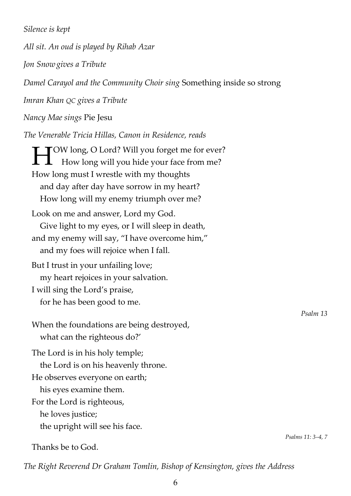*Silence is kept*

*All sit. An oud is played by Rihab Azar*

*Jon Snowgives a Tribute*

*Damel Carayol and the Community Choir sing* Something inside so strong

*Imran Khan QC gives a Tribute*

*Nancy Mae sings* Pie Jesu

*The Venerable Tricia Hillas, Canon in Residence, reads*

**THE TOW long, O Lord? Will you forget me for ever?**<br>
How long will you hide your face from me? How long will you hide your face from me? How long must I wrestle with my thoughts and day after day have sorrow in my heart? How long will my enemy triumph over me? Look on me and answer, Lord my God. Give light to my eyes, or I will sleep in death, and my enemy will say, "I have overcome him," and my foes will rejoice when I fall. But I trust in your unfailing love; my heart rejoices in your salvation. I will sing the Lord's praise, for he has been good to me. When the foundations are being destroyed, what can the righteous do?' The Lord is in his holy temple; the Lord is on his heavenly throne. He observes everyone on earth; his eyes examine them. For the Lord is righteous, he loves justice;

the upright will see his face.

Thanks be to God.

*The Right Reverend Dr Graham Tomlin, Bishop of Kensington, gives the Address*

*Psalm 13*

*Psalms 11: 3–4, 7*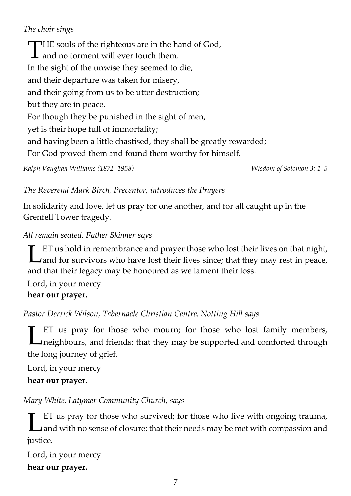## *The choir sings*

THE souls of the righteous are in the hand of God,<br>and no torment will ever touch them. **1** and no torment will ever touch them. In the sight of the unwise they seemed to die, and their departure was taken for misery, and their going from us to be utter destruction; but they are in peace. For though they be punished in the sight of men, yet is their hope full of immortality; and having been a little chastised, they shall be greatly rewarded; For God proved them and found them worthy for himself. *Ralph Vaughan Williams (1872–1958) Wisdom of Solomon 3: 1–5*

#### *The Reverend Mark Birch, Precentor, introduces the Prayers*

In solidarity and love, let us pray for one another, and for all caught up in the Grenfell Tower tragedy.

#### *All remain seated. Father Skinner says*

ET us hold in remembrance and prayer those who lost their lives on that night, **Let us hold in remembrance and prayer those who lost their lives on that night,** and for survivors who have lost their lives since; that they may rest in peace, and that their legacy may be honoured as we lament their loss.

Lord, in your mercy **hear our prayer.**

*Pastor Derrick Wilson, Tabernacle Christian Centre, Notting Hill says*

ET us pray for those who mourn; for those who lost family members, neighbours, and friends; that they may be supported and comforted through the long journey of grief. L

Lord, in your mercy **hear our prayer.**

## *Mary White, Latymer Community Church, says*

ET us pray for those who survived; for those who live with ongoing trauma, and with no sense of closure; that their needs may be met with compassion and justice. L

Lord, in your mercy **hear our prayer.**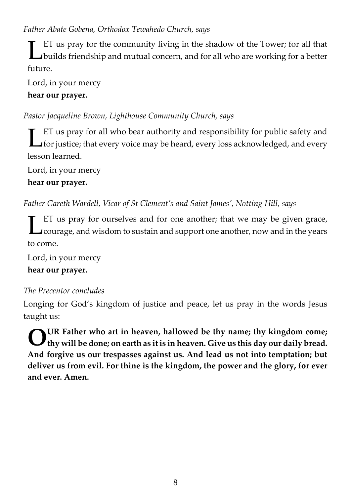### *Father Abate Gobena, Orthodox Tewahedo Church, says*

ET us pray for the community living in the shadow of the Tower; for all that builds friendship and mutual concern, and for all who are working for a better future. L

Lord, in your mercy **hear our prayer.**

## *Pastor Jacqueline Brown, Lighthouse Community Church, says*

ET us pray for all who bear authority and responsibility for public safety and for justice; that every voice may be heard, every loss acknowledged, and every lesson learned. L

Lord, in your mercy

### **hear our prayer.**

*Father Gareth Wardell, Vicar of St Clement's and Saint James', Notting Hill, says*

ET us pray for ourselves and for one another; that we may be given grace, courage, and wisdom to sustain and support one another, now and in the years to come. L

Lord, in your mercy

**hear our prayer.**

## *The Precentor concludes*

Longing for God's kingdom of justice and peace, let us pray in the words Jesus taught us:

**UR Father who art in heaven, hallowed be thy name; thy kingdom come; thy will be done; on earth as it is in heaven. Give us this day our daily bread. And forgive us our trespasses against us. And lead us not into temptation; but deliver us from evil. For thine is the kingdom, the power and the glory, for ever and ever. Amen. O**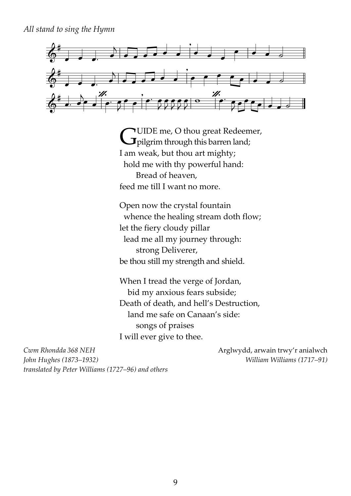*All stand to sing the Hymn* 



UIDE me, O thou great Redeemer, **CUIDE** me, O thou great Redeen<br>pilgrim through this barren land; I am weak, but thou art mighty; hold me with thy powerful hand: Bread of heaven, feed me till I want no more.

Open now the crystal fountain whence the healing stream doth flow; let the fiery cloudy pillar lead me all my journey through: strong Deliverer, be thou still my strength and shield.

When I tread the verge of Jordan, bid my anxious fears subside; Death of death, and hell's Destruction, land me safe on Canaan's side: songs of praises I will ever give to thee.

*Cwm Rhondda 368 NEH* Arglwydd, arwain trwy'r anialwch *John Hughes (1873–1932) William Williams (1717–91) translated by Peter Williams (1727–96) and others*